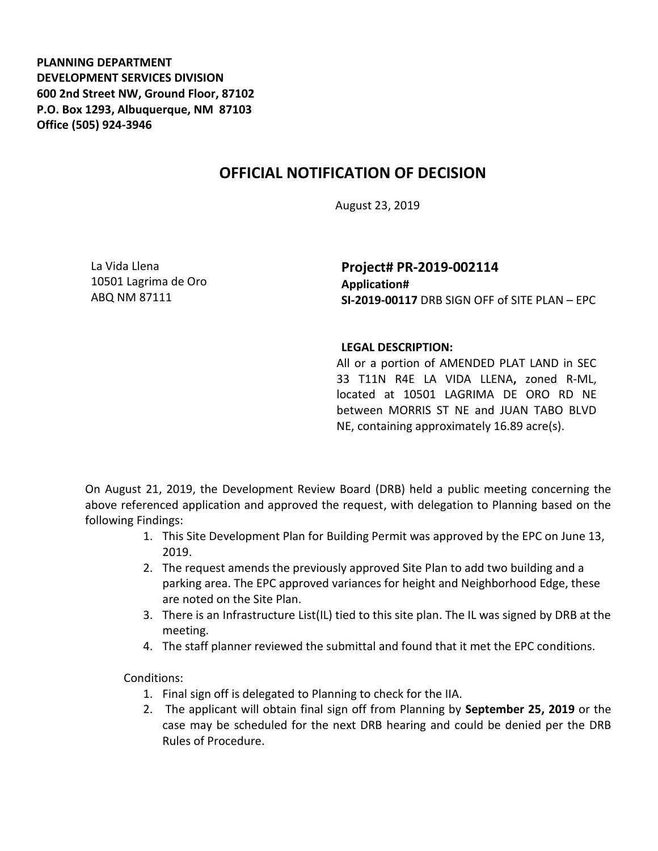**PLANNING DEPARTMENT DEVELOPMENT SERVICES DIVISION 600 2nd Street NW, Ground Floor, 87102 P.O. Box 1293, Albuquerque, NM 87103 Office (505) 924-3946** 

## **OFFICIAL NOTIFICATION OF DECISION**

August 23, 2019

La Vida Llena 10501 Lagrima de Oro ABQ NM 87111

**Project# PR-2019-002114 Application# SI-2019-00117** DRB SIGN OFF of SITE PLAN – EPC

## **LEGAL DESCRIPTION:**

All or a portion of AMENDED PLAT LAND in SEC 33 T11N R4E LA VIDA LLENA**,** zoned R-ML, located at 10501 LAGRIMA DE ORO RD NE between MORRIS ST NE and JUAN TABO BLVD NE, containing approximately 16.89 acre(s).

On August 21, 2019, the Development Review Board (DRB) held a public meeting concerning the above referenced application and approved the request, with delegation to Planning based on the following Findings:

- 1. This Site Development Plan for Building Permit was approved by the EPC on June 13, 2019.
- 2. The request amends the previously approved Site Plan to add two building and a parking area. The EPC approved variances for height and Neighborhood Edge, these are noted on the Site Plan.
- 3. There is an Infrastructure List(IL) tied to this site plan. The IL was signed by DRB at the meeting.
- 4. The staff planner reviewed the submittal and found that it met the EPC conditions.

Conditions:

- 1. Final sign off is delegated to Planning to check for the IIA.
- 2. The applicant will obtain final sign off from Planning by **September 25, 2019** or the case may be scheduled for the next DRB hearing and could be denied per the DRB Rules of Procedure.